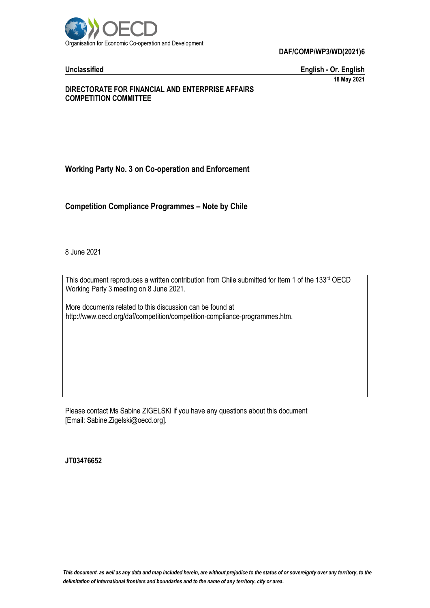

**DAF/COMP/WP3/WD(2021)6**

**Unclassified English - Or. English 18 May 2021**

### **DIRECTORATE FOR FINANCIAL AND ENTERPRISE AFFAIRS COMPETITION COMMITTEE**

# **Working Party No. 3 on Co-operation and Enforcement**

**Competition Compliance Programmes – Note by Chile**

8 June 2021

This document reproduces a written contribution from Chile submitted for Item 1 of the 133rd OECD Working Party 3 meeting on 8 June 2021.

More documents related to this discussion can be found at http://www.oecd.org/daf/competition/competition-compliance-programmes.htm.

Please contact Ms Sabine ZIGELSKI if you have any questions about this document [Email: Sabine.Zigelski@oecd.org].

**JT03476652**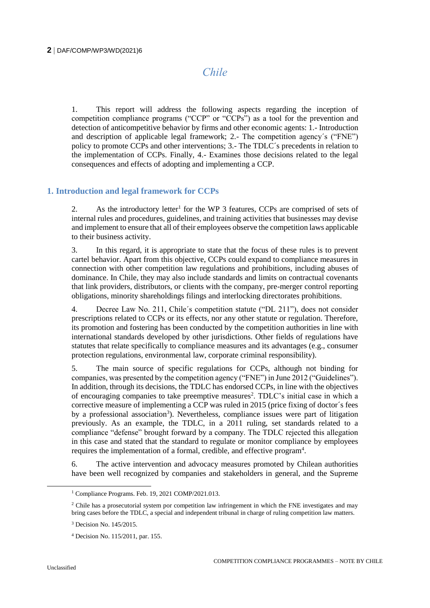# *Chile*

1. This report will address the following aspects regarding the inception of competition compliance programs ("CCP" or "CCPs") as a tool for the prevention and detection of anticompetitive behavior by firms and other economic agents: 1.- Introduction and description of applicable legal framework; 2.- The competition agency´s ("FNE") policy to promote CCPs and other interventions; 3.- The TDLC´s precedents in relation to the implementation of CCPs. Finally, 4.- Examines those decisions related to the legal consequences and effects of adopting and implementing a CCP.

# **1. Introduction and legal framework for CCPs**

2. As the introductory letter<sup>1</sup> for the WP 3 features, CCPs are comprised of sets of internal rules and procedures, guidelines, and training activities that businesses may devise and implement to ensure that all of their employees observe the competition laws applicable to their business activity.

3. In this regard, it is appropriate to state that the focus of these rules is to prevent cartel behavior. Apart from this objective, CCPs could expand to compliance measures in connection with other competition law regulations and prohibitions, including abuses of dominance. In Chile, they may also include standards and limits on contractual covenants that link providers, distributors, or clients with the company, pre-merger control reporting obligations, minority shareholdings filings and interlocking directorates prohibitions.

4. Decree Law No. 211, Chile´s competition statute ("DL 211"), does not consider prescriptions related to CCPs or its effects, nor any other statute or regulation. Therefore, its promotion and fostering has been conducted by the competition authorities in line with international standards developed by other jurisdictions. Other fields of regulations have statutes that relate specifically to compliance measures and its advantages (e.g., consumer protection regulations, environmental law, corporate criminal responsibility).

5. The main source of specific regulations for CCPs, although not binding for companies, was presented by the competition agency ("FNE") in June 2012 ("Guidelines"). In addition, through its decisions, the TDLC has endorsed CCPs, in line with the objectives of encouraging companies to take preemptive measures<sup>2</sup>. TDLC's initial case in which a corrective measure of implementing a CCP was ruled in 2015 (price fixing of doctor´s fees by a professional association<sup>3</sup>). Nevertheless, compliance issues were part of litigation previously. As an example, the TDLC, in a 2011 ruling, set standards related to a compliance "defense" brought forward by a company. The TDLC rejected this allegation in this case and stated that the standard to regulate or monitor compliance by employees requires the implementation of a formal, credible, and effective program<sup>4</sup>.

6. The active intervention and advocacy measures promoted by Chilean authorities have been well recognized by companies and stakeholders in general, and the Supreme

 $\overline{a}$ 

<sup>1</sup> Compliance Programs. Feb. 19, 2021 COMP/2021.013.

 $2$  Chile has a prosecutorial system por competition law infringement in which the FNE investigates and may bring cases before the TDLC, a special and independent tribunal in charge of ruling competition law matters.

<sup>3</sup> Decision No. 145/2015.

<sup>4</sup> Decision No. 115/2011, par. 155.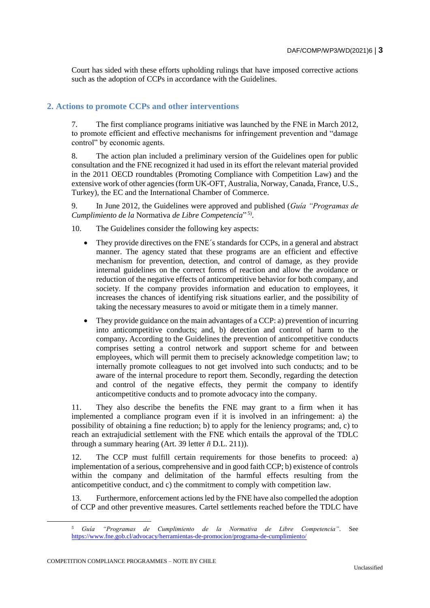Court has sided with these efforts upholding rulings that have imposed corrective actions such as the adoption of CCPs in accordance with the Guidelines.

### **2. Actions to promote CCPs and other interventions**

7. The first compliance programs initiative was launched by the FNE in March 2012, to promote efficient and effective mechanisms for infringement prevention and "damage control" by economic agents.

8. The action plan included a preliminary version of the Guidelines open for public consultation and the FNE recognized it had used in its effort the relevant material provided in the 2011 OECD roundtables (Promoting Compliance with Competition Law) and the extensive work of other agencies (form UK-OFT, Australia, Norway, Canada, France, U.S., Turkey), the EC and the International Chamber of Commerce.

9. In June 2012, the Guidelines were approved and published (*Guía "Programas de Cumplimiento de la* Normativa *de Libre Competencia*" 5) .

10. The Guidelines consider the following key aspects:

- They provide directives on the FNE´s standards for CCPs, in a general and abstract manner. The agency stated that these programs are an efficient and effective mechanism for prevention, detection, and control of damage, as they provide internal guidelines on the correct forms of reaction and allow the avoidance or reduction of the negative effects of anticompetitive behavior for both company, and society. If the company provides information and education to employees, it increases the chances of identifying risk situations earlier, and the possibility of taking the necessary measures to avoid or mitigate them in a timely manner.
- They provide guidance on the main advantages of a CCP: a) prevention of incurring into anticompetitive conducts; and, b) detection and control of harm to the company**.** According to the Guidelines the prevention of anticompetitive conducts comprises setting a control network and support scheme for and between employees, which will permit them to precisely acknowledge competition law; to internally promote colleagues to not get involved into such conducts; and to be aware of the internal procedure to report them. Secondly, regarding the detection and control of the negative effects, they permit the company to identify anticompetitive conducts and to promote advocacy into the company.

11. They also describe the benefits the FNE may grant to a firm when it has implemented a compliance program even if it is involved in an infringement: a) the possibility of obtaining a fine reduction; b) to apply for the leniency programs; and, c) to reach an extrajudicial settlement with the FNE which entails the approval of the TDLC through a summary hearing (Art. 39 letter *ñ* D.L. 211)).

12. The CCP must fulfill certain requirements for those benefits to proceed: a) implementation of a serious, comprehensive and in good faith CCP; b) existence of controls within the company and delimitation of the harmful effects resulting from the anticompetitive conduct, and c) the commitment to comply with competition law.

13. Furthermore, enforcement actions led by the FNE have also compelled the adoption of CCP and other preventive measures. Cartel settlements reached before the TDLC have

COMPETITION COMPLIANCE PROGRAMMES – NOTE BY CHILE

*<sup>5</sup> Guía "Programas de Cumplimiento de la Normativa de Libre Competencia"*. See <https://www.fne.gob.cl/advocacy/herramientas-de-promocion/programa-de-cumplimiento/>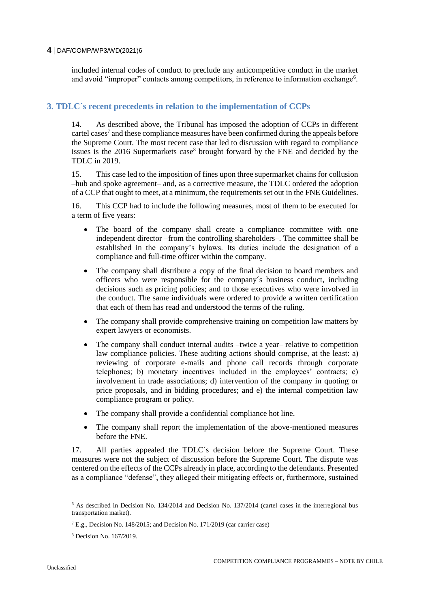#### **4** DAF/COMP/WP3/WD(2021)6

included internal codes of conduct to preclude any anticompetitive conduct in the market and avoid "improper" contacts among competitors, in reference to information exchange<sup>6</sup>.

# **3. TDLC´s recent precedents in relation to the implementation of CCPs**

14. As described above, the Tribunal has imposed the adoption of CCPs in different cartel cases<sup>7</sup> and these compliance measures have been confirmed during the appeals before the Supreme Court. The most recent case that led to discussion with regard to compliance issues is the 2016 Supermarkets case<sup>8</sup> brought forward by the FNE and decided by the TDLC in 2019.

15. This case led to the imposition of fines upon three supermarket chains for collusion –hub and spoke agreement– and, as a corrective measure, the TDLC ordered the adoption of a CCP that ought to meet, at a minimum, the requirements set out in the FNE Guidelines.

16. This CCP had to include the following measures, most of them to be executed for a term of five years:

- The board of the company shall create a compliance committee with one independent director –from the controlling shareholders–. The committee shall be established in the company's bylaws. Its duties include the designation of a compliance and full-time officer within the company.
- The company shall distribute a copy of the final decision to board members and officers who were responsible for the company´s business conduct, including decisions such as pricing policies; and to those executives who were involved in the conduct. The same individuals were ordered to provide a written certification that each of them has read and understood the terms of the ruling.
- The company shall provide comprehensive training on competition law matters by expert lawyers or economists.
- The company shall conduct internal audits –twice a year– relative to competition law compliance policies. These auditing actions should comprise, at the least: a) reviewing of corporate e-mails and phone call records through corporate telephones; b) monetary incentives included in the employees' contracts; c) involvement in trade associations; d) intervention of the company in quoting or price proposals, and in bidding procedures; and e) the internal competition law compliance program or policy.
- The company shall provide a confidential compliance hot line.
- The company shall report the implementation of the above-mentioned measures before the FNE.

17. All parties appealed the TDLC´s decision before the Supreme Court. These measures were not the subject of discussion before the Supreme Court. The dispute was centered on the effects of the CCPs already in place, according to the defendants. Presented as a compliance "defense", they alleged their mitigating effects or, furthermore, sustained

<sup>6</sup> As described in Decision No. 134/2014 and Decision No. 137/2014 (cartel cases in the interregional bus transportation market).

<sup>7</sup> E.g., Decision No. 148/2015; and Decision No. 171/2019 (car carrier case)

<sup>8</sup> Decision No. 167/2019.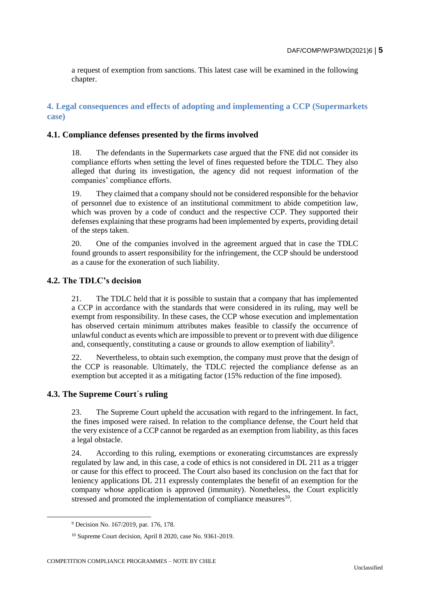a request of exemption from sanctions. This latest case will be examined in the following chapter.

**4. Legal consequences and effects of adopting and implementing a CCP (Supermarkets case)**

#### **4.1. Compliance defenses presented by the firms involved**

18. The defendants in the Supermarkets case argued that the FNE did not consider its compliance efforts when setting the level of fines requested before the TDLC. They also alleged that during its investigation, the agency did not request information of the companies' compliance efforts.

19. They claimed that a company should not be considered responsible for the behavior of personnel due to existence of an institutional commitment to abide competition law, which was proven by a code of conduct and the respective CCP. They supported their defenses explaining that these programs had been implemented by experts, providing detail of the steps taken.

20. One of the companies involved in the agreement argued that in case the TDLC found grounds to assert responsibility for the infringement, the CCP should be understood as a cause for the exoneration of such liability.

# **4.2. The TDLC's decision**

21. The TDLC held that it is possible to sustain that a company that has implemented a CCP in accordance with the standards that were considered in its ruling, may well be exempt from responsibility. In these cases, the CCP whose execution and implementation has observed certain minimum attributes makes feasible to classify the occurrence of unlawful conduct as events which are impossible to prevent or to prevent with due diligence and, consequently, constituting a cause or grounds to allow exemption of liability<sup>9</sup>.

22. Nevertheless, to obtain such exemption, the company must prove that the design of the CCP is reasonable. Ultimately, the TDLC rejected the compliance defense as an exemption but accepted it as a mitigating factor (15% reduction of the fine imposed).

# **4.3. The Supreme Court´s ruling**

23. The Supreme Court upheld the accusation with regard to the infringement. In fact, the fines imposed were raised. In relation to the compliance defense, the Court held that the very existence of a CCP cannot be regarded as an exemption from liability, as this faces a legal obstacle.

24. According to this ruling, exemptions or exonerating circumstances are expressly regulated by law and, in this case, a code of ethics is not considered in DL 211 as a trigger or cause for this effect to proceed. The Court also based its conclusion on the fact that for leniency applications DL 211 expressly contemplates the benefit of an exemption for the company whose application is approved (immunity). Nonetheless, the Court explicitly stressed and promoted the implementation of compliance measures $^{10}$ .

<sup>9</sup> Decision No. 167/2019, par. 176, 178.

<sup>10</sup> Supreme Court decision, April 8 2020, case No. 9361-2019.